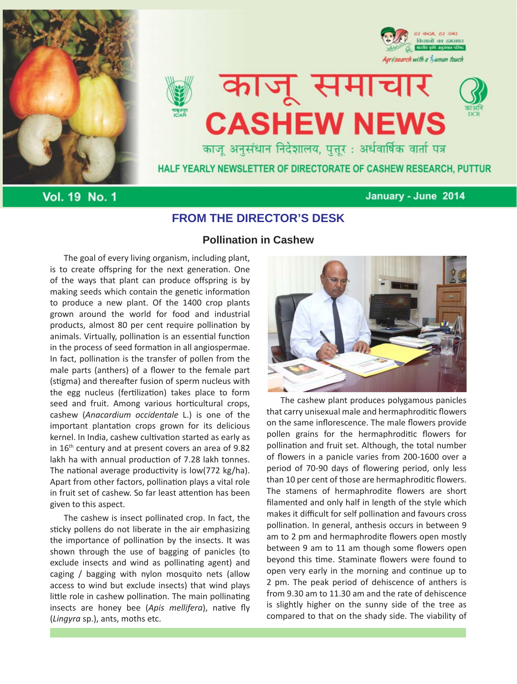



# काजू समाचार **CASHEW NEWS** काजू अनुसंधान निदेशालय, पुत्तूर: अर्धवार्षिक वार्ता पत्र



किसानों का हमस

résearch with a *fuman touch* 

HALF YEARLY NEWSLETTER OF DIRECTORATE OF CASHEW RESEARCH, PUTTUR

**Vol. 19 No. 1** 

## January - June 2014

## **FROM THE DIRECTOR'S DESK**

The goal of every living organism, including plant, is to create offspring for the next generation. One of the ways that plant can produce offspring is by making seeds which contain the genetic information to produce a new plant. Of the 1400 crop plants grown around the world for food and industrial products, almost 80 per cent require pollination by animals. Virtually, pollination is an essential function in the process of seed formation in all angiospermae. In fact, pollination is the transfer of pollen from the male parts (anthers) of a flower to the female part (stigma) and thereafter fusion of sperm nucleus with the egg nucleus (fertilization) takes place to form seed and fruit. Among various horticultural crops, cashew (*Anacardium occidentale* L.) is one of the important plantation crops grown for its delicious kernel. In India, cashew cultivation started as early as in 16<sup>th</sup> century and at present covers an area of 9.82 lakh ha with annual production of 7.28 lakh tonnes. The national average productivity is low(772 kg/ha). Apart from other factors, pollination plays a vital role in fruit set of cashew. So far least attention has been given to this aspect.

The cashew is insect pollinated crop. In fact, the sticky pollens do not liberate in the air emphasizing the importance of pollination by the insects. It was shown through the use of bagging of panicles (to exclude insects and wind as pollinating agent) and caging / bagging with nylon mosquito nets (allow access to wind but exclude insects) that wind plays little role in cashew pollination. The main pollinating insects are honey bee (*Apis mellifera*), native fly (*Lingyra* sp.), ants, moths etc.

# **Pollination in Cashew**



The cashew plant produces polygamous panicles that carry unisexual male and hermaphroditic flowers on the same inflorescence. The male flowers provide pollen grains for the hermaphroditic flowers for pollination and fruit set. Although, the total number of flowers in a panicle varies from 200-1600 over a period of 70-90 days of flowering period, only less than 10 per cent of those are hermaphroditic flowers. The stamens of hermaphrodite flowers are short filamented and only half in length of the style which makes it difficult for self pollination and favours cross pollination. In general, anthesis occurs in between 9 am to 2 pm and hermaphrodite flowers open mostly between 9 am to 11 am though some flowers open beyond this time. Staminate flowers were found to open very early in the morning and continue up to 2 pm. The peak period of dehiscence of anthers is from 9.30 am to 11.30 am and the rate of dehiscence is slightly higher on the sunny side of the tree as compared to that on the shady side. The viability of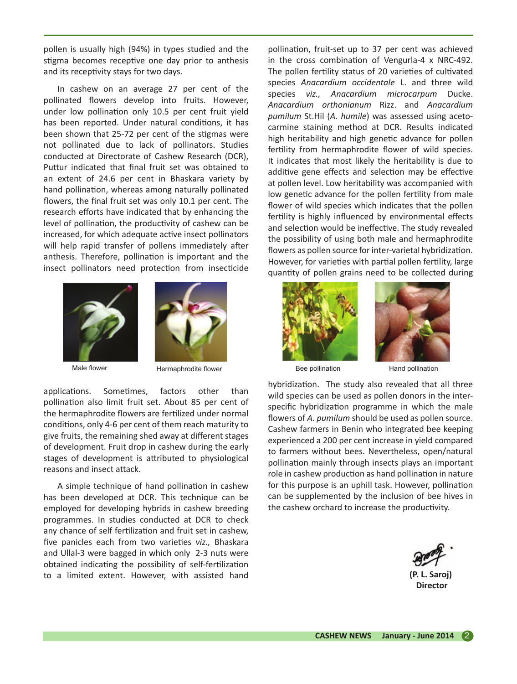pollen is usually high (94%) in types studied and the stigma becomes receptive one day prior to anthesis and its receptivity stays for two days.

In cashew on an average 27 per cent of the pollinated flowers develop into fruits. However, under low pollination only 10.5 per cent fruit yield has been reported. Under natural conditions, it has been shown that 25-72 per cent of the stigmas were not pollinated due to lack of pollinators. Studies conducted at Directorate of Cashew Research (DCR), Puttur indicated that final fruit set was obtained to an extent of 24.6 per cent in Bhaskara variety by hand pollination, whereas among naturally pollinated flowers, the final fruit set was only 10.1 per cent. The research efforts have indicated that by enhancing the level of pollination, the productivity of cashew can be increased, for which adequate active insect pollinators will help rapid transfer of pollens immediately after anthesis. Therefore, pollination is important and the insect pollinators need protection from insecticide





Male flower **Hermaphrodite flower** Bee pollination Hand pollination

applications. Sometimes, factors other than pollination also limit fruit set. About 85 per cent of the hermaphrodite flowers are fertilized under normal conditions, only 4-6 per cent of them reach maturity to give fruits, the remaining shed away at different stages of development. Fruit drop in cashew during the early stages of development is attributed to physiological reasons and insect attack.

A simple technique of hand pollination in cashew has been developed at DCR. This technique can be employed for developing hybrids in cashew breeding programmes. In studies conducted at DCR to check any chance of self fertilization and fruit set in cashew, five panicles each from two varieties *viz.,* Bhaskara and Ullal-3 were bagged in which only 2-3 nuts were obtained indicating the possibility of self-fertilization to a limited extent. However, with assisted hand

pollination, fruit-set up to 37 per cent was achieved in the cross combination of Vengurla-4 x NRC-492. The pollen fertility status of 20 varieties of cultivated species *Anacardium occidentale* L. and three wild species *viz., Anacardium microcarpum* Ducke. *Anacardium orthonianum* Rizz. and *Anacardium pumilum* St.Hil (*A. humile*) was assessed using acetocarmine staining method at DCR. Results indicated high heritability and high genetic advance for pollen fertility from hermaphrodite flower of wild species. It indicates that most likely the heritability is due to additive gene effects and selection may be effective at pollen level. Low heritability was accompanied with low genetic advance for the pollen fertility from male flower of wild species which indicates that the pollen fertility is highly influenced by environmental effects and selection would be ineffective. The study revealed the possibility of using both male and hermaphrodite flowers as pollen source for inter-varietal hybridization. However, for varieties with partial pollen fertility, large quantity of pollen grains need to be collected during





hybridization. The study also revealed that all three wild species can be used as pollen donors in the interspecific hybridization programme in which the male flowers of *A. pumilum* should be used as pollen source. Cashew farmers in Benin who integrated bee keeping experienced a 200 per cent increase in yield compared to farmers without bees. Nevertheless, open/natural pollination mainly through insects plays an important role in cashew production as hand pollination in nature for this purpose is an uphill task. However, pollination can be supplemented by the inclusion of bee hives in the cashew orchard to increase the productivity.

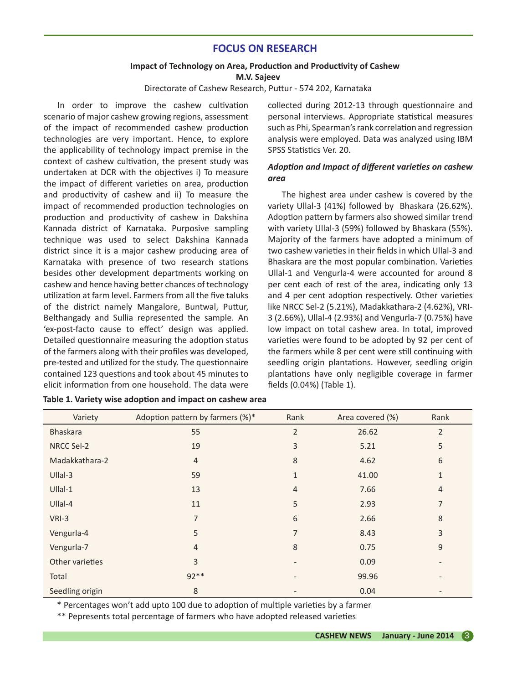## **FOCUS ON RESEARCH**

## **Impact of Technology on Area, Production and Productivity of Cashew**

**M.V. Sajeev**

Directorate of Cashew Research, Puttur - 574 202, Karnataka

In order to improve the cashew cultivation scenario of major cashew growing regions, assessment of the impact of recommended cashew production technologies are very important. Hence, to explore the applicability of technology impact premise in the context of cashew cultivation, the present study was undertaken at DCR with the objectives i) To measure the impact of different varieties on area, production and productivity of cashew and ii) To measure the impact of recommended production technologies on production and productivity of cashew in Dakshina Kannada district of Karnataka. Purposive sampling technique was used to select Dakshina Kannada district since it is a major cashew producing area of Karnataka with presence of two research stations besides other development departments working on cashew and hence having better chances of technology utilization at farm level. Farmers from all the five taluks of the district namely Mangalore, Buntwal, Puttur, Belthangady and Sullia represented the sample. An 'ex-post-facto cause to effect' design was applied. Detailed questionnaire measuring the adoption status of the farmers along with their profiles was developed, pre-tested and utilized for the study. The questionnaire contained 123 questions and took about 45 minutes to elicit information from one household. The data were

collected during 2012-13 through questionnaire and personal interviews. Appropriate statistical measures such as Phi, Spearman's rank correlation and regression analysis were employed. Data was analyzed using IBM SPSS Statistics Ver. 20.

## *Adoption and Impact of different varieties on cashew area*

The highest area under cashew is covered by the variety Ullal-3 (41%) followed by Bhaskara (26.62%). Adoption pattern by farmers also showed similar trend with variety Ullal-3 (59%) followed by Bhaskara (55%). Majority of the farmers have adopted a minimum of two cashew varieties in their fields in which Ullal-3 and Bhaskara are the most popular combination. Varieties Ullal-1 and Vengurla-4 were accounted for around 8 per cent each of rest of the area, indicating only 13 and 4 per cent adoption respectively. Other varieties like NRCC Sel-2 (5.21%), Madakkathara-2 (4.62%), VRI-3 (2.66%), Ullal-4 (2.93%) and Vengurla-7 (0.75%) have low impact on total cashew area. In total, improved varieties were found to be adopted by 92 per cent of the farmers while 8 per cent were still continuing with seedling origin plantations. However, seedling origin plantations have only negligible coverage in farmer fields (0.04%) (Table 1).

| Variety         | Adoption pattern by farmers (%)* | Rank           | Area covered (%) | Rank           |
|-----------------|----------------------------------|----------------|------------------|----------------|
| <b>Bhaskara</b> | 55                               | $\overline{2}$ | 26.62            | 2              |
| NRCC Sel-2      | 19                               | 3              | 5.21             | 5              |
| Madakkathara-2  | $\overline{4}$                   | 8              | 4.62             | 6              |
| Ullal-3         | 59                               | 1              | 41.00            | 1              |
| $U$ llal-1      | 13                               | $\overline{4}$ | 7.66             | $\overline{4}$ |
| $U$ llal-4      | 11                               | 5              | 2.93             | $\overline{7}$ |
| VRI-3           | 7                                | 6              | 2.66             | 8              |
| Vengurla-4      | 5                                | 7              | 8.43             | 3              |
| Vengurla-7      | $\overline{4}$                   | 8              | 0.75             | 9              |
| Other varieties | 3                                |                | 0.09             |                |
| Total           | $92**$                           |                | 99.96            |                |
| Seedling origin | 8                                |                | 0.04             |                |

| Table 1. Variety wise adoption and impact on cashew area |
|----------------------------------------------------------|
|----------------------------------------------------------|

\* Percentages won't add upto 100 due to adoption of multiple varieties by a farmer

\*\* Pepresents total percentage of farmers who have adopted released varieties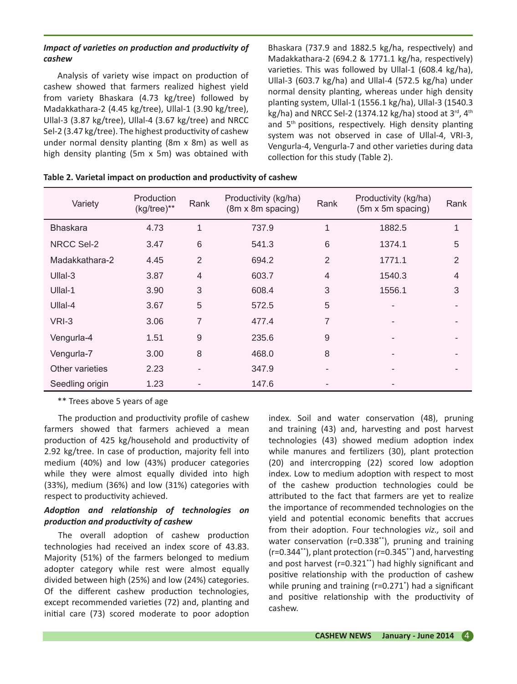## *Impact of varieties on production and productivity of cashew*

Analysis of variety wise impact on production of cashew showed that farmers realized highest yield from variety Bhaskara (4.73 kg/tree) followed by Madakkathara-2 (4.45 kg/tree), Ullal-1 (3.90 kg/tree), Ullal-3 (3.87 kg/tree), Ullal-4 (3.67 kg/tree) and NRCC Sel-2 (3.47 kg/tree). The highest productivity of cashew under normal density planting (8m x 8m) as well as high density planting (5m x 5m) was obtained with

Bhaskara (737.9 and 1882.5 kg/ha, respectively) and Madakkathara-2 (694.2 & 1771.1 kg/ha, respectively) varieties. This was followed by Ullal-1 (608.4 kg/ha), Ullal-3 (603.7 kg/ha) and Ullal-4 (572.5 kg/ha) under normal density planting, whereas under high density planting system, Ullal-1 (1556.1 kg/ha), Ullal-3 (1540.3 kg/ha) and NRCC Sel-2 (1374.12 kg/ha) stood at  $3^{\text{rd}}$ ,  $4^{\text{th}}$ and 5<sup>th</sup> positions, respectively. High density planting system was not observed in case of Ullal-4, VRI-3, Vengurla-4, Vengurla-7 and other varieties during data collection for this study (Table 2).

| Variety         | Production<br>(kg/tree)** | Rank           | Productivity (kg/ha)<br>(8m x 8m spacing) | Rank           | Productivity (kg/ha)<br>$(5m \times 5m$ spacing) | Rank           |
|-----------------|---------------------------|----------------|-------------------------------------------|----------------|--------------------------------------------------|----------------|
| <b>Bhaskara</b> | 4.73                      | 1              | 737.9                                     | 1              | 1882.5                                           | 1              |
| NRCC Sel-2      | 3.47                      | 6              | 541.3                                     | 6              | 1374.1                                           | 5              |
| Madakkathara-2  | 4.45                      | 2              | 694.2                                     | $\overline{2}$ | 1771.1                                           | $\overline{2}$ |
| $U$ llal-3      | 3.87                      | $\overline{4}$ | 603.7                                     | $\overline{4}$ | 1540.3                                           | $\overline{4}$ |
| Ullal-1         | 3.90                      | 3              | 608.4                                     | 3              | 1556.1                                           | 3              |
| $U$ llal-4      | 3.67                      | 5              | 572.5                                     | 5              |                                                  |                |
| VRI-3           | 3.06                      | 7              | 477.4                                     | 7              |                                                  |                |
| Vengurla-4      | 1.51                      | 9              | 235.6                                     | 9              |                                                  |                |
| Vengurla-7      | 3.00                      | 8              | 468.0                                     | 8              |                                                  |                |
| Other varieties | 2.23                      | ٠              | 347.9                                     | -              |                                                  |                |
| Seedling origin | 1.23                      |                | 147.6                                     |                |                                                  |                |

| Table 2. Varietal impact on production and productivity of cashew |  |  |  |
|-------------------------------------------------------------------|--|--|--|
|-------------------------------------------------------------------|--|--|--|

\*\* Trees above 5 years of age

The production and productivity profile of cashew farmers showed that farmers achieved a mean production of 425 kg/household and productivity of 2.92 kg/tree. In case of production, majority fell into medium (40%) and low (43%) producer categories while they were almost equally divided into high (33%), medium (36%) and low (31%) categories with respect to productivity achieved.

## *Adoption and relationship of technologies on production and productivity of cashew*

The overall adoption of cashew production technologies had received an index score of 43.83. Majority (51%) of the farmers belonged to medium adopter category while rest were almost equally divided between high (25%) and low (24%) categories. Of the different cashew production technologies, except recommended varieties (72) and, planting and initial care (73) scored moderate to poor adoption

index. Soil and water conservation (48), pruning and training (43) and, harvesting and post harvest technologies (43) showed medium adoption index while manures and fertilizers (30), plant protection (20) and intercropping (22) scored low adoption index. Low to medium adoption with respect to most of the cashew production technologies could be attributed to the fact that farmers are yet to realize the importance of recommended technologies on the yield and potential economic benefits that accrues from their adoption. Four technologies *viz.,* soil and water conservation (r=0.338\*\*), pruning and training (r=0.344\*\*), plant protection (r=0.345\*\*) and, harvesting and post harvest (r=0.321\*\*) had highly significant and positive relationship with the production of cashew while pruning and training (r=0.271\* ) had a significant and positive relationship with the productivity of cashew.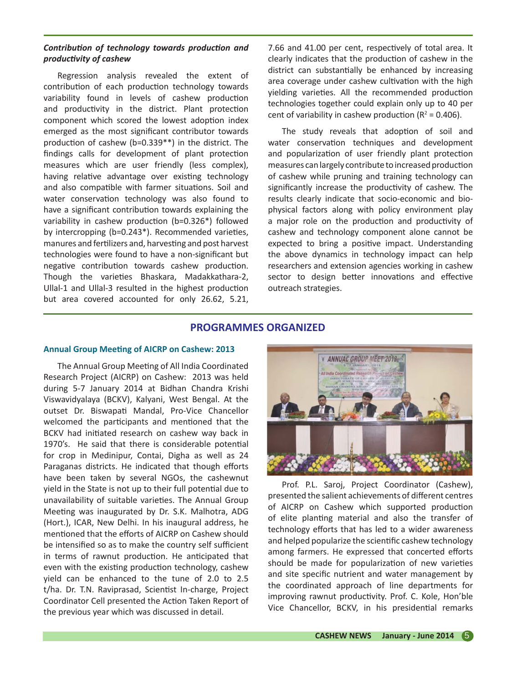## *Contribution of technology towards production and productivity of cashew*

Regression analysis revealed the extent of contribution of each production technology towards variability found in levels of cashew production and productivity in the district. Plant protection component which scored the lowest adoption index emerged as the most significant contributor towards production of cashew (b=0.339\*\*) in the district. The findings calls for development of plant protection measures which are user friendly (less complex), having relative advantage over existing technology and also compatible with farmer situations. Soil and water conservation technology was also found to have a significant contribution towards explaining the variability in cashew production (b=0.326\*) followed by intercropping (b=0.243\*). Recommended varieties, manures and fertilizers and, harvesting and post harvest technologies were found to have a non-significant but negative contribution towards cashew production. Though the varieties Bhaskara, Madakkathara-2, Ullal-1 and Ullal-3 resulted in the highest production but area covered accounted for only 26.62, 5.21,

7.66 and 41.00 per cent, respectively of total area. It clearly indicates that the production of cashew in the district can substantially be enhanced by increasing area coverage under cashew cultivation with the high yielding varieties. All the recommended production technologies together could explain only up to 40 per cent of variability in cashew production ( $R^2$  = 0.406).

The study reveals that adoption of soil and water conservation techniques and development and popularization of user friendly plant protection measures can largely contribute to increased production of cashew while pruning and training technology can significantly increase the productivity of cashew. The results clearly indicate that socio-economic and biophysical factors along with policy environment play a major role on the production and productivity of cashew and technology component alone cannot be expected to bring a positive impact. Understanding the above dynamics in technology impact can help researchers and extension agencies working in cashew sector to design better innovations and effective outreach strategies.

## **PROGRAMMES ORGANIZED**

## **Annual Group Meeting of AICRP on Cashew: 2013**

The Annual Group Meeting of All India Coordinated Research Project (AICRP) on Cashew: 2013 was held during 5-7 January 2014 at Bidhan Chandra Krishi Viswavidyalaya (BCKV), Kalyani, West Bengal. At the outset Dr. Biswapati Mandal, Pro-Vice Chancellor welcomed the participants and mentioned that the BCKV had initiated research on cashew way back in 1970's. He said that there is considerable potential for crop in Medinipur, Contai, Digha as well as 24 Paraganas districts. He indicated that though efforts have been taken by several NGOs, the cashewnut yield in the State is not up to their full potential due to unavailability of suitable varieties. The Annual Group Meeting was inaugurated by Dr. S.K. Malhotra, ADG (Hort.), ICAR, New Delhi. In his inaugural address, he mentioned that the efforts of AICRP on Cashew should be intensified so as to make the country self sufficient in terms of rawnut production. He anticipated that even with the existing production technology, cashew yield can be enhanced to the tune of 2.0 to 2.5 t/ha. Dr. T.N. Raviprasad, Scientist In-charge, Project Coordinator Cell presented the Action Taken Report of the previous year which was discussed in detail.



Prof. P.L. Saroj, Project Coordinator (Cashew), presented the salient achievements of different centres of AICRP on Cashew which supported production of elite planting material and also the transfer of technology efforts that has led to a wider awareness and helped popularize the scientific cashew technology among farmers. He expressed that concerted efforts should be made for popularization of new varieties and site specific nutrient and water management by the coordinated approach of line departments for improving rawnut productivity. Prof. C. Kole, Hon'ble Vice Chancellor, BCKV, in his presidential remarks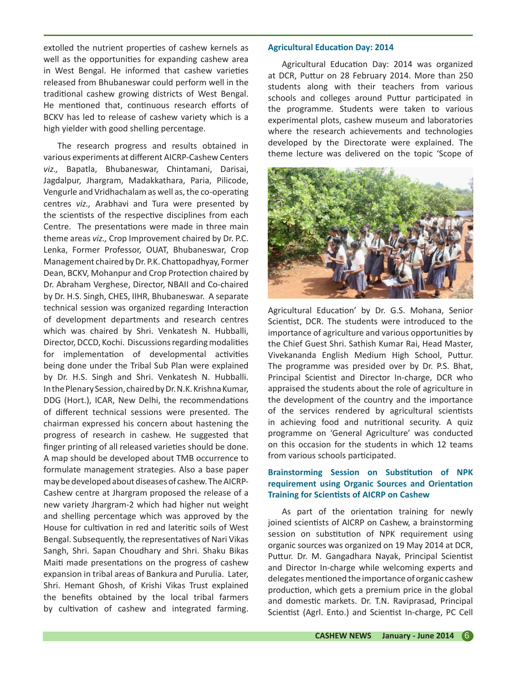extolled the nutrient properties of cashew kernels as well as the opportunities for expanding cashew area in West Bengal. He informed that cashew varieties released from Bhubaneswar could perform well in the traditional cashew growing districts of West Bengal. He mentioned that, continuous research efforts of BCKV has led to release of cashew variety which is a high yielder with good shelling percentage.

The research progress and results obtained in various experiments at different AICRP-Cashew Centers *viz.,* Bapatla, Bhubaneswar, Chintamani, Darisai, Jagdalpur, Jhargram, Madakkathara, Paria, Pilicode, Vengurle and Vridhachalam as well as, the co-operating centres *viz.,* Arabhavi and Tura were presented by the scientists of the respective disciplines from each Centre. The presentations were made in three main theme areas *viz.,* Crop Improvement chaired by Dr. P.C. Lenka, Former Professor, OUAT, Bhubaneswar, Crop Management chaired by Dr. P.K. Chattopadhyay, Former Dean, BCKV, Mohanpur and Crop Protection chaired by Dr. Abraham Verghese, Director, NBAII and Co-chaired by Dr. H.S. Singh, CHES, IIHR, Bhubaneswar. A separate technical session was organized regarding Interaction of development departments and research centres which was chaired by Shri. Venkatesh N. Hubballi, Director, DCCD, Kochi. Discussions regarding modalities for implementation of developmental activities being done under the Tribal Sub Plan were explained by Dr. H.S. Singh and Shri. Venkatesh N. Hubballi. In the Plenary Session, chaired by Dr. N.K. Krishna Kumar, DDG (Hort.), ICAR, New Delhi, the recommendations of different technical sessions were presented. The chairman expressed his concern about hastening the progress of research in cashew. He suggested that finger printing of all released varieties should be done. A map should be developed about TMB occurrence to formulate management strategies. Also a base paper may be developed about diseases of cashew. The AICRP-Cashew centre at Jhargram proposed the release of a new variety Jhargram-2 which had higher nut weight and shelling percentage which was approved by the House for cultivation in red and lateritic soils of West Bengal. Subsequently, the representatives of Nari Vikas Sangh, Shri. Sapan Choudhary and Shri. Shaku Bikas Maiti made presentations on the progress of cashew expansion in tribal areas of Bankura and Purulia. Later, Shri. Hemant Ghosh, of Krishi Vikas Trust explained the benefits obtained by the local tribal farmers by cultivation of cashew and integrated farming.

#### **Agricultural Education Day: 2014**

Agricultural Education Day: 2014 was organized at DCR, Puttur on 28 February 2014. More than 250 students along with their teachers from various schools and colleges around Puttur participated in the programme. Students were taken to various experimental plots, cashew museum and laboratories where the research achievements and technologies developed by the Directorate were explained. The theme lecture was delivered on the topic 'Scope of



Agricultural Education' by Dr. G.S. Mohana, Senior Scientist, DCR. The students were introduced to the importance of agriculture and various opportunities by the Chief Guest Shri. Sathish Kumar Rai, Head Master, Vivekananda English Medium High School, Puttur. The programme was presided over by Dr. P.S. Bhat, Principal Scientist and Director In-charge, DCR who appraised the students about the role of agriculture in the development of the country and the importance of the services rendered by agricultural scientists in achieving food and nutritional security. A quiz programme on 'General Agriculture' was conducted on this occasion for the students in which 12 teams from various schools participated.

## **Brainstorming Session on Substitution of NPK requirement using Organic Sources and Orientation Training for Scientists of AICRP on Cashew**

As part of the orientation training for newly joined scientists of AICRP on Cashew, a brainstorming session on substitution of NPK requirement using organic sources was organized on 19 May 2014 at DCR, Puttur. Dr. M. Gangadhara Nayak, Principal Scientist and Director In-charge while welcoming experts and delegates mentioned the importance of organic cashew production, which gets a premium price in the global and domestic markets. Dr. T.N. Raviprasad, Principal Scientist (Agrl. Ento.) and Scientist In-charge, PC Cell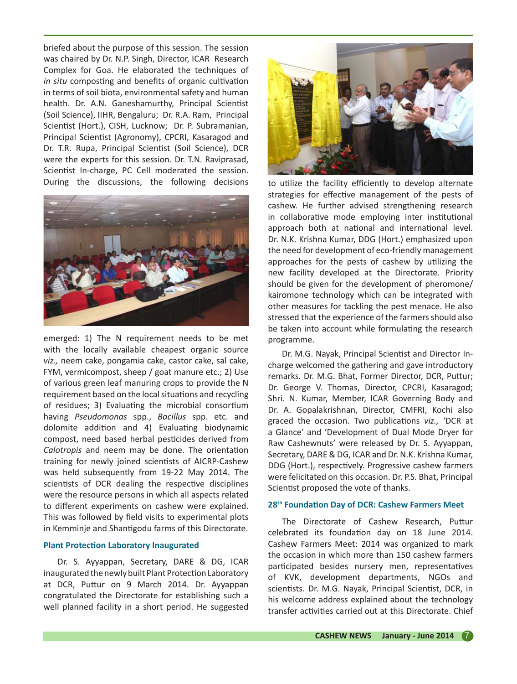briefed about the purpose of this session. The session was chaired by Dr. N.P. Singh, Director, ICAR Research Complex for Goa. He elaborated the techniques of *in situ* composting and benefits of organic cultivation in terms of soil biota, environmental safety and human health. Dr. A.N. Ganeshamurthy, Principal Scientist (Soil Science), IIHR, Bengaluru; Dr. R.A. Ram, Principal Scientist (Hort.), CISH, Lucknow; Dr. P. Subramanian, Principal Scientist (Agronomy), CPCRI, Kasaragod and Dr. T.R. Rupa, Principal Scientist (Soil Science), DCR were the experts for this session. Dr. T.N. Raviprasad, Scientist In-charge, PC Cell moderated the session. During the discussions, the following decisions



emerged: 1) The N requirement needs to be met with the locally available cheapest organic source *viz.,* neem cake, pongamia cake, castor cake, sal cake, FYM, vermicompost, sheep / goat manure etc.; 2) Use of various green leaf manuring crops to provide the N requirement based on the local situations and recycling of residues; 3) Evaluating the microbial consortium having *Pseudomonas* spp., *Bacillus* spp. etc. and dolomite addition and 4) Evaluating biodynamic compost, need based herbal pesticides derived from *Calotropis* and neem may be done. The orientation training for newly joined scientists of AICRP-Cashew was held subsequently from 19-22 May 2014. The scientists of DCR dealing the respective disciplines were the resource persons in which all aspects related to different experiments on cashew were explained. This was followed by field visits to experimental plots in Kemminje and Shantigodu farms of this Directorate.

#### **Plant Protection Laboratory Inaugurated**

Dr. S. Ayyappan, Secretary, DARE & DG, ICAR inaugurated the newly built Plant Protection Laboratory at DCR, Puttur on 9 March 2014. Dr. Ayyappan congratulated the Directorate for establishing such a well planned facility in a short period. He suggested



to utilize the facility efficiently to develop alternate strategies for effective management of the pests of cashew. He further advised strengthening research in collaborative mode employing inter institutional approach both at national and international level. Dr. N.K. Krishna Kumar, DDG (Hort.) emphasized upon the need for development of eco-friendly management approaches for the pests of cashew by utilizing the new facility developed at the Directorate. Priority should be given for the development of pheromone/ kairomone technology which can be integrated with other measures for tackling the pest menace. He also stressed that the experience of the farmers should also be taken into account while formulating the research programme.

Dr. M.G. Nayak, Principal Scientist and Director Incharge welcomed the gathering and gave introductory remarks. Dr. M.G. Bhat, Former Director, DCR, Puttur; Dr. George V. Thomas, Director, CPCRI, Kasaragod; Shri. N. Kumar, Member, ICAR Governing Body and Dr. A. Gopalakrishnan, Director, CMFRI, Kochi also graced the occasion. Two publications *viz.,* 'DCR at a Glance' and 'Development of Dual Mode Dryer for Raw Cashewnuts' were released by Dr. S. Ayyappan, Secretary, DARE & DG, ICAR and Dr. N.K. Krishna Kumar, DDG (Hort.), respectively. Progressive cashew farmers were felicitated on this occasion. Dr. P.S. Bhat, Principal Scientist proposed the vote of thanks.

#### **28th Foundation Day of DCR: Cashew Farmers Meet**

The Directorate of Cashew Research, Puttur celebrated its foundation day on 18 June 2014. Cashew Farmers Meet: 2014 was organized to mark the occasion in which more than 150 cashew farmers participated besides nursery men, representatives of KVK, development departments, NGOs and scientists. Dr. M.G. Nayak, Principal Scientist, DCR, in his welcome address explained about the technology transfer activities carried out at this Directorate. Chief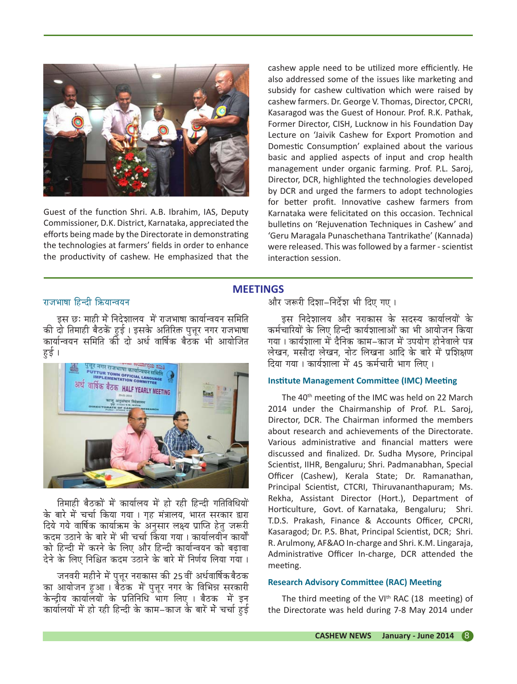

Guest of the function Shri. A.B. Ibrahim, IAS, Deputy Commissioner, D.K. District, Karnataka, appreciated the efforts being made by the Directorate in demonstrating the technologies at farmers' fields in order to enhance the productivity of cashew. He emphasized that the

cashew apple need to be utilized more efficiently. He also addressed some of the issues like marketing and subsidy for cashew cultivation which were raised by cashew farmers. Dr. George V. Thomas, Director, CPCRI, Kasaragod was the Guest of Honour. Prof. R.K. Pathak, Former Director, CISH, Lucknow in his Foundation Day Lecture on 'Jaivik Cashew for Export Promotion and Domestic Consumption' explained about the various basic and applied aspects of input and crop health management under organic farming. Prof. P.L. Saroj, Director, DCR, highlighted the technologies developed by DCR and urged the farmers to adopt technologies for better profit. Innovative cashew farmers from Karnataka were felicitated on this occasion. Technical bulletins on 'Rejuvenation Techniques in Cashew' and 'Geru Maragala Punaschethana Tantrikathe' (Kannada) were released. This was followed by a farmer - scientist interaction session.

## **MEETINGS**

## राजभाषा हिन्दी क्रियान्वयन

<u>इस छः माही में निदेशालय, में राजभाषा कार्यान्वयन समिति</u> की दो तिमाही बैठकें हुई। इसके अतिरिक्त पुत्तूर नगर राजभाषा कार्यान्वयन समिति को दो अर्ध वार्षिक बैठक भी आयोजित हई ।



तिमाही बैठकों में कार्यालय में हो रही हिन्दी गतिविधियों के बारे में चर्चा किया गया । गह मंत्रालय, भारत सरकार द्वारा दिये गये वार्षिक कार्याऋम के अनुसार लक्ष्य प्राप्ति हेतु जरूरी कदम उठाने के बारे में भी चर्चा किया गया । कार्यालयीन कार्यों को हिन्दी में करने के लिए और हिन्दी कार्यान्वयन को बढ़ावा<br>... देने के लिए निश्चित कदम उठाने के बारे में निर्णय लिया गया ।

जनवरी महीने में पत्तर नराकास की 25 वीं अर्धवार्षिक बैठक का आयोजन हुआ । बैठक में पुत्तूर नगर के विभिन्न सरकारी केन्दीय कार्यालयों के प्रतिनिधि<sup>ँ</sup>भाग लिए । बैठक में इन कार्यालयों में हो रही हिन्दी के काम–काज के बारें में चर्चा हुई

और जरूरी दिशा-निर्देश भी दिए गए।

इस निदेशालय और नराकास के सदस्य कार्यालयों क<mark>े</mark> कर्मचारियों के लिए हिन्दी कार्यशालाओं का भी आयोजन किया गया । कार्यशाला में दैनिक काम–काज में उपयोग होनेवाले पत्र लेखन, मसौदा लेखन, नोट लिखना आदि के बारे में प्रशिक्षण दिया गया । कार्यशाला में 45 कर्मचारी भाग लिए ।

#### **Institute Management Committee (IMC) Meeting**

The 40<sup>th</sup> meeting of the IMC was held on 22 March 2014 under the Chairmanship of Prof. P.L. Saroj, Director, DCR. The Chairman informed the members about research and achievements of the Directorate. Various administrative and financial matters were discussed and finalized. Dr. Sudha Mysore, Principal Scientist, IIHR, Bengaluru; Shri. Padmanabhan, Special Officer (Cashew), Kerala State; Dr. Ramanathan, Principal Scientist, CTCRI, Thiruvananthapuram; Ms. Rekha, Assistant Director (Hort.), Department of Horticulture, Govt. of Karnataka, Bengaluru; Shri. T.D.S. Prakash, Finance & Accounts Officer, CPCRI, Kasaragod; Dr. P.S. Bhat, Principal Scientist, DCR; Shri. R. Arulmony, AF&AO In-charge and Shri. K.M. Lingaraja, Administrative Officer In-charge, DCR attended the meeting.

## **Research Advisory Committee (RAC) Meeting**

The third meeting of the VI<sup>th</sup> RAC (18 meeting) of the Directorate was held during 7-8 May 2014 under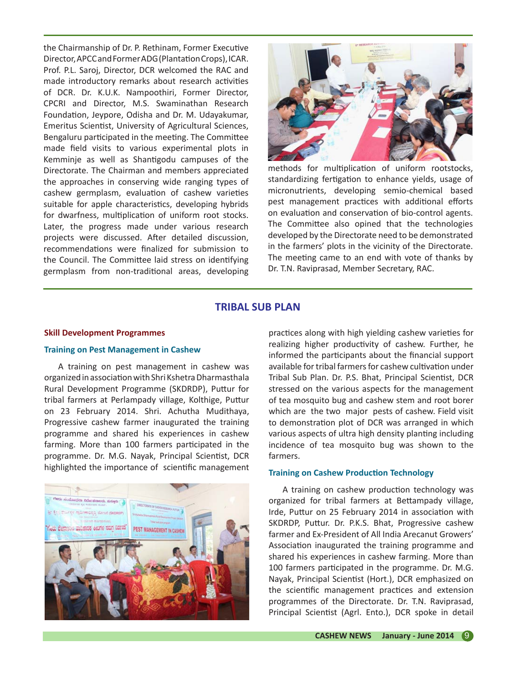the Chairmanship of Dr. P. Rethinam, Former Executive Director, APCC and Former ADG (Plantation Crops), ICAR. Prof. P.L. Saroj, Director, DCR welcomed the RAC and made introductory remarks about research activities of DCR. Dr. K.U.K. Nampoothiri, Former Director, CPCRI and Director, M.S. Swaminathan Research Foundation, Jeypore, Odisha and Dr. M. Udayakumar, Emeritus Scientist, University of Agricultural Sciences, Bengaluru participated in the meeting. The Committee made field visits to various experimental plots in Kemminje as well as Shantigodu campuses of the Directorate. The Chairman and members appreciated the approaches in conserving wide ranging types of cashew germplasm, evaluation of cashew varieties suitable for apple characteristics, developing hybrids for dwarfness, multiplication of uniform root stocks. Later, the progress made under various research projects were discussed. After detailed discussion, recommendations were finalized for submission to the Council. The Committee laid stress on identifying germplasm from non-traditional areas, developing



methods for multiplication of uniform rootstocks, standardizing fertigation to enhance yields, usage of micronutrients, developing semio-chemical based pest management practices with additional efforts on evaluation and conservation of bio-control agents. The Committee also opined that the technologies developed by the Directorate need to be demonstrated in the farmers' plots in the vicinity of the Directorate. The meeting came to an end with vote of thanks by Dr. T.N. Raviprasad, Member Secretary, RAC.

## **TRIBAL SUB PLAN**

#### **Skill Development Programmes**

#### **Training on Pest Management in Cashew**

A training on pest management in cashew was organized in association with Shri Kshetra Dharmasthala Rural Development Programme (SKDRDP), Puttur for tribal farmers at Perlampady village, Kolthige, Puttur on 23 February 2014. Shri. Achutha Mudithaya, Progressive cashew farmer inaugurated the training programme and shared his experiences in cashew farming. More than 100 farmers participated in the programme. Dr. M.G. Nayak, Principal Scientist, DCR highlighted the importance of scientific management



practices along with high yielding cashew varieties for realizing higher productivity of cashew. Further, he informed the participants about the financial support available for tribal farmers for cashew cultivation under Tribal Sub Plan. Dr. P.S. Bhat, Principal Scientist, DCR stressed on the various aspects for the management of tea mosquito bug and cashew stem and root borer which are the two major pests of cashew. Field visit to demonstration plot of DCR was arranged in which various aspects of ultra high density planting including incidence of tea mosquito bug was shown to the farmers.

## **Training on Cashew Production Technology**

A training on cashew production technology was organized for tribal farmers at Bettampady village, Irde, Puttur on 25 February 2014 in association with SKDRDP, Puttur. Dr. P.K.S. Bhat, Progressive cashew farmer and Ex-President of All India Arecanut Growers' Association inaugurated the training programme and shared his experiences in cashew farming. More than 100 farmers participated in the programme. Dr. M.G. Nayak, Principal Scientist (Hort.), DCR emphasized on the scientific management practices and extension programmes of the Directorate. Dr. T.N. Raviprasad, Principal Scientist (Agrl. Ento.), DCR spoke in detail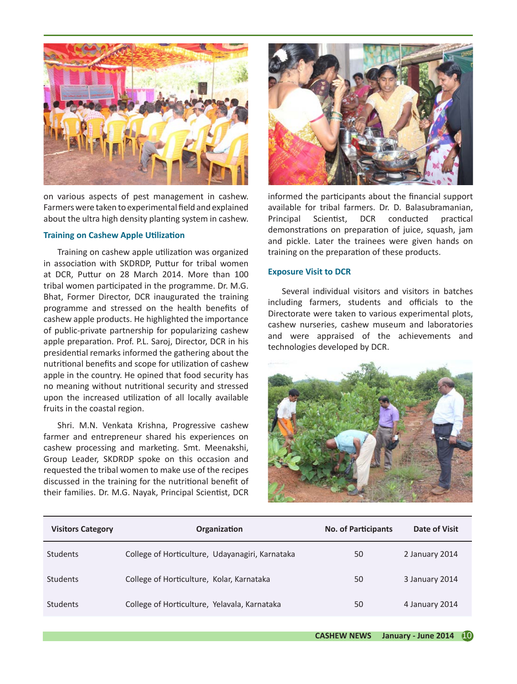

on various aspects of pest management in cashew. Farmers were taken to experimental field and explained about the ultra high density planting system in cashew.

## **Training on Cashew Apple Utilization**

Training on cashew apple utilization was organized in association with SKDRDP, Puttur for tribal women at DCR, Puttur on 28 March 2014. More than 100 tribal women participated in the programme. Dr. M.G. Bhat, Former Director, DCR inaugurated the training programme and stressed on the health benefits of cashew apple products. He highlighted the importance of public-private partnership for popularizing cashew apple preparation. Prof. P.L. Saroj, Director, DCR in his presidential remarks informed the gathering about the nutritional benefits and scope for utilization of cashew apple in the country. He opined that food security has no meaning without nutritional security and stressed upon the increased utilization of all locally available fruits in the coastal region.

Shri. M.N. Venkata Krishna, Progressive cashew farmer and entrepreneur shared his experiences on cashew processing and marketing. Smt. Meenakshi, Group Leader, SKDRDP spoke on this occasion and requested the tribal women to make use of the recipes discussed in the training for the nutritional benefit of their families. Dr. M.G. Nayak, Principal Scientist, DCR



informed the participants about the financial support available for tribal farmers. Dr. D. Balasubramanian, Principal Scientist, DCR conducted practical demonstrations on preparation of juice, squash, jam and pickle. Later the trainees were given hands on training on the preparation of these products.

#### **Exposure Visit to DCR**

Several individual visitors and visitors in batches including farmers, students and officials to the Directorate were taken to various experimental plots, cashew nurseries, cashew museum and laboratories and were appraised of the achievements and technologies developed by DCR.



| <b>Visitors Category</b> | Organization                                    | <b>No. of Participants</b> | Date of Visit  |
|--------------------------|-------------------------------------------------|----------------------------|----------------|
| <b>Students</b>          | College of Horticulture, Udayanagiri, Karnataka | 50                         | 2 January 2014 |
| <b>Students</b>          | College of Horticulture, Kolar, Karnataka       | 50                         | 3 January 2014 |
| <b>Students</b>          | College of Horticulture, Yelavala, Karnataka    | 50                         | 4 January 2014 |
|                          |                                                 |                            |                |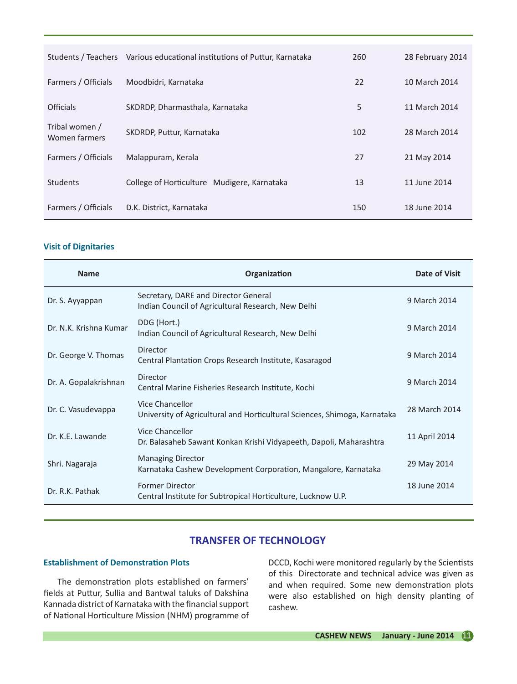|                                 | Students / Teachers Various educational institutions of Puttur, Karnataka | 260 | 28 February 2014 |
|---------------------------------|---------------------------------------------------------------------------|-----|------------------|
| Farmers / Officials             | Moodbidri, Karnataka                                                      | 22  | 10 March 2014    |
| <b>Officials</b>                | SKDRDP, Dharmasthala, Karnataka                                           | 5   | 11 March 2014    |
| Tribal women /<br>Women farmers | SKDRDP, Puttur, Karnataka                                                 | 102 | 28 March 2014    |
| Farmers / Officials             | Malappuram, Kerala                                                        | 27  | 21 May 2014      |
| <b>Students</b>                 | College of Horticulture Mudigere, Karnataka                               | 13  | 11 June 2014     |
| Farmers / Officials             | D.K. District, Karnataka                                                  | 150 | 18 June 2014     |

## **Visit of Dignitaries**

| <b>Name</b>            | Organization                                                                                 | Date of Visit |
|------------------------|----------------------------------------------------------------------------------------------|---------------|
| Dr. S. Ayyappan        | Secretary, DARE and Director General<br>Indian Council of Agricultural Research, New Delhi   | 9 March 2014  |
| Dr. N.K. Krishna Kumar | DDG (Hort.)<br>Indian Council of Agricultural Research, New Delhi                            | 9 March 2014  |
| Dr. George V. Thomas   | Director<br>Central Plantation Crops Research Institute, Kasaragod                           | 9 March 2014  |
| Dr. A. Gopalakrishnan  | <b>Director</b><br>Central Marine Fisheries Research Institute, Kochi                        | 9 March 2014  |
| Dr. C. Vasudevappa     | Vice Chancellor<br>University of Agricultural and Horticultural Sciences, Shimoga, Karnataka | 28 March 2014 |
| Dr. K.F. Lawande       | Vice Chancellor<br>Dr. Balasaheb Sawant Konkan Krishi Vidyapeeth, Dapoli, Maharashtra        | 11 April 2014 |
| Shri. Nagaraja         | <b>Managing Director</b><br>Karnataka Cashew Development Corporation, Mangalore, Karnataka   | 29 May 2014   |
| Dr. R.K. Pathak        | <b>Former Director</b><br>Central Institute for Subtropical Horticulture, Lucknow U.P.       | 18 June 2014  |

## **TRANSFER OF TECHNOLOGY**

## **Establishment of Demonstration Plots**

The demonstration plots established on farmers' fields at Puttur, Sullia and Bantwal taluks of Dakshina Kannada district of Karnataka with the financial support of National Horticulture Mission (NHM) programme of

DCCD, Kochi were monitored regularly by the Scientists of this Directorate and technical advice was given as and when required. Some new demonstration plots were also established on high density planting of cashew.